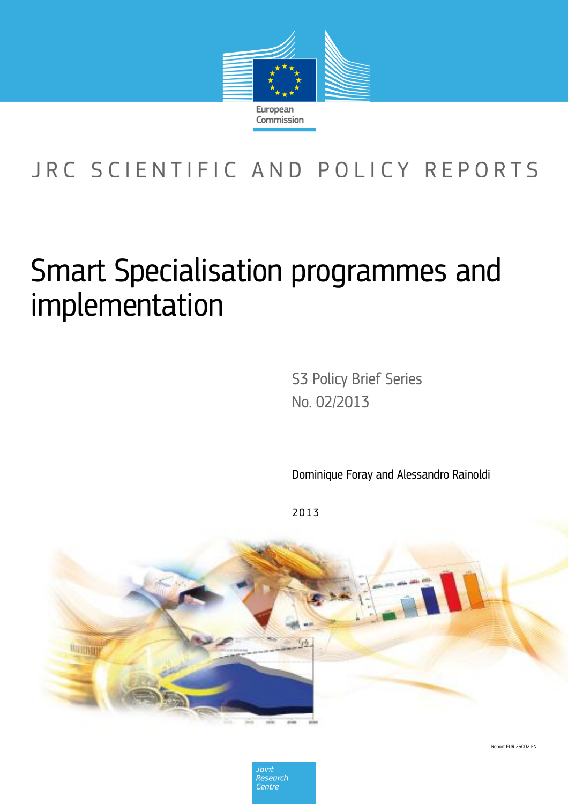

## JRC SCIENTIFIC AND POLICY REPORTS

# Smart Specialisation programmes and implementation

S3 Policy Brief Series No. 02/2013 This May 1980 with the Title Line Title Line Title Line Title Line Title Line Title Line Title Line Title Line Title Line Title Line Title Line Title Line Title Line Title Line Title Line Title Line Title Line Title Line T

Dominique Foray and Alessandro Rainoldi

2 0 1 3



Report EUR 26002 EN

Joint Research Centre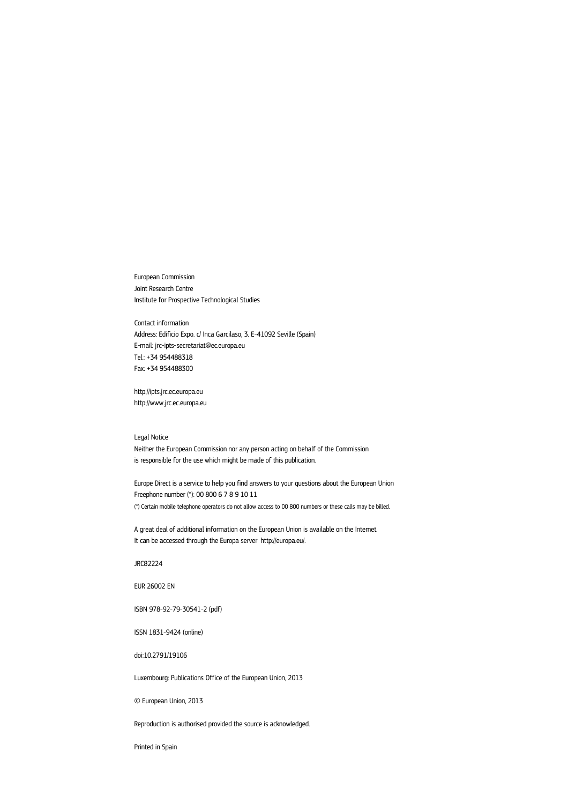European Commission Joint Research Centre Institute for Prospective Technological Studies

Contact information Address: Edificio Expo. c/ Inca Garcilaso, 3. E-41092 Seville (Spain) E-mail: jrc-ipts-secretariat@ec.europa.eu Tel.: +34 954488318 Fax: +34 954488300

http://ipts.jrc.ec.europa.eu http://www.jrc.ec.europa.eu

#### Legal Notice

Neither the European Commission nor any person acting on behalf of the Commission is responsible for the use which might be made of this publication.

Europe Direct is a service to help you find answers to your questions about the European Union Freephone number (\*): 00 800 6 7 8 9 10 11 (\*) Certain mobile telephone operators do not allow access to 00 800 numbers or these calls may be billed.

A great deal of additional information on the European Union is available on the Internet. It can be accessed through the Europa server http://europa.eu/.

JRC82224

EUR 26002 EN

ISBN 978-92-79-30541-2 (pdf)

ISSN 1831-9424 (online)

doi:10.2791/19106

Luxembourg: Publications Office of the European Union, 2013

© European Union, 2013

Reproduction is authorised provided the source is acknowledged.

Printed in Spain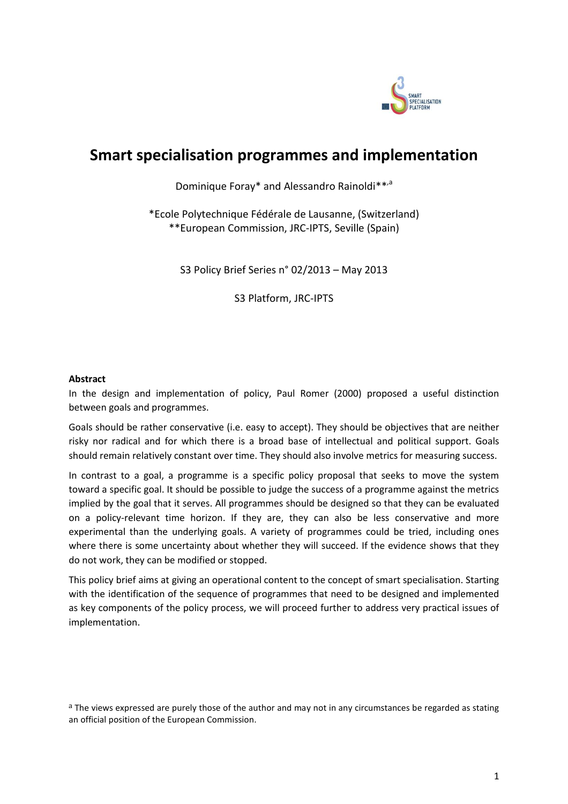

### **Smart specialisation programmes and implementation**

Dominique Foray\* and Alessandro Rainoldi\*\*,<sup>a</sup>

\*Ecole Polytechnique Fédérale de Lausanne, (Switzerland) \*\*European Commission, JRC-IPTS, Seville (Spain)

S3 Policy Brief Series n° 02/2013 – May 2013

S3 Platform, JRC-IPTS

#### **Abstract**

In the design and implementation of policy, Paul Romer (2000) proposed a useful distinction between goals and programmes.

Goals should be rather conservative (i.e. easy to accept). They should be objectives that are neither risky nor radical and for which there is a broad base of intellectual and political support. Goals should remain relatively constant over time. They should also involve metrics for measuring success.

In contrast to a goal, a programme is a specific policy proposal that seeks to move the system toward a specific goal. It should be possible to judge the success of a programme against the metrics implied by the goal that it serves. All programmes should be designed so that they can be evaluated on a policy-relevant time horizon. If they are, they can also be less conservative and more experimental than the underlying goals. A variety of programmes could be tried, including ones where there is some uncertainty about whether they will succeed. If the evidence shows that they do not work, they can be modified or stopped.

This policy brief aims at giving an operational content to the concept of smart specialisation. Starting with the identification of the sequence of programmes that need to be designed and implemented as key components of the policy process, we will proceed further to address very practical issues of implementation.

<sup>&</sup>lt;sup>a</sup> The views expressed are purely those of the author and may not in any circumstances be regarded as stating an official position of the European Commission.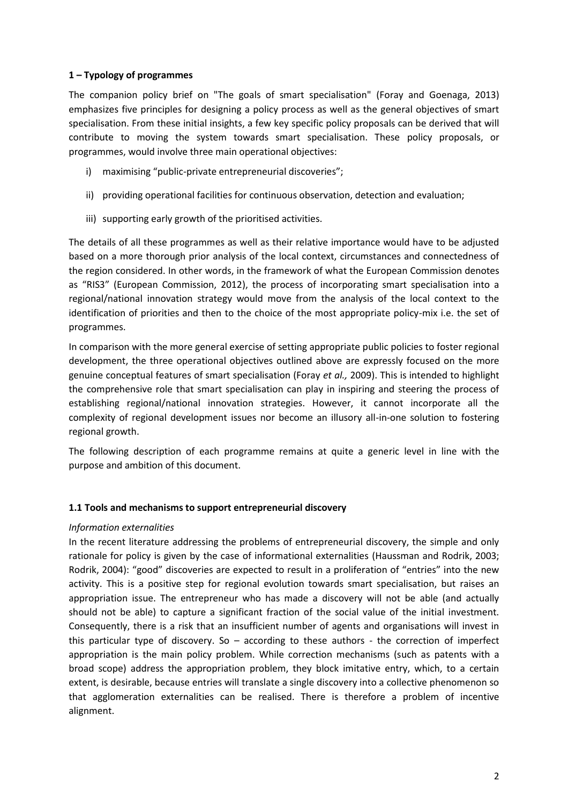#### **1 – Typology of programmes**

The companion policy brief on "The goals of smart specialisation" (Foray and Goenaga, 2013) emphasizes five principles for designing a policy process as well as the general objectives of smart specialisation. From these initial insights, a few key specific policy proposals can be derived that will contribute to moving the system towards smart specialisation. These policy proposals, or programmes, would involve three main operational objectives:

- i) maximising "public-private entrepreneurial discoveries";
- ii) providing operational facilities for continuous observation, detection and evaluation;
- iii) supporting early growth of the prioritised activities.

The details of all these programmes as well as their relative importance would have to be adjusted based on a more thorough prior analysis of the local context, circumstances and connectedness of the region considered. In other words, in the framework of what the European Commission denotes as "RIS3" (European Commission, 2012), the process of incorporating smart specialisation into a regional/national innovation strategy would move from the analysis of the local context to the identification of priorities and then to the choice of the most appropriate policy-mix i.e. the set of programmes.

In comparison with the more general exercise of setting appropriate public policies to foster regional development, the three operational objectives outlined above are expressly focused on the more genuine conceptual features of smart specialisation (Foray *et al.,* 2009). This is intended to highlight the comprehensive role that smart specialisation can play in inspiring and steering the process of establishing regional/national innovation strategies. However, it cannot incorporate all the complexity of regional development issues nor become an illusory all-in-one solution to fostering regional growth.

The following description of each programme remains at quite a generic level in line with the purpose and ambition of this document.

#### **1.1 Tools and mechanisms to support entrepreneurial discovery**

#### *Information externalities*

In the recent literature addressing the problems of entrepreneurial discovery, the simple and only rationale for policy is given by the case of informational externalities (Haussman and Rodrik, 2003; Rodrik, 2004): "good" discoveries are expected to result in a proliferation of "entries" into the new activity. This is a positive step for regional evolution towards smart specialisation, but raises an appropriation issue. The entrepreneur who has made a discovery will not be able (and actually should not be able) to capture a significant fraction of the social value of the initial investment. Consequently, there is a risk that an insufficient number of agents and organisations will invest in this particular type of discovery. So – according to these authors - the correction of imperfect appropriation is the main policy problem. While correction mechanisms (such as patents with a broad scope) address the appropriation problem, they block imitative entry, which, to a certain extent, is desirable, because entries will translate a single discovery into a collective phenomenon so that agglomeration externalities can be realised. There is therefore a problem of incentive alignment.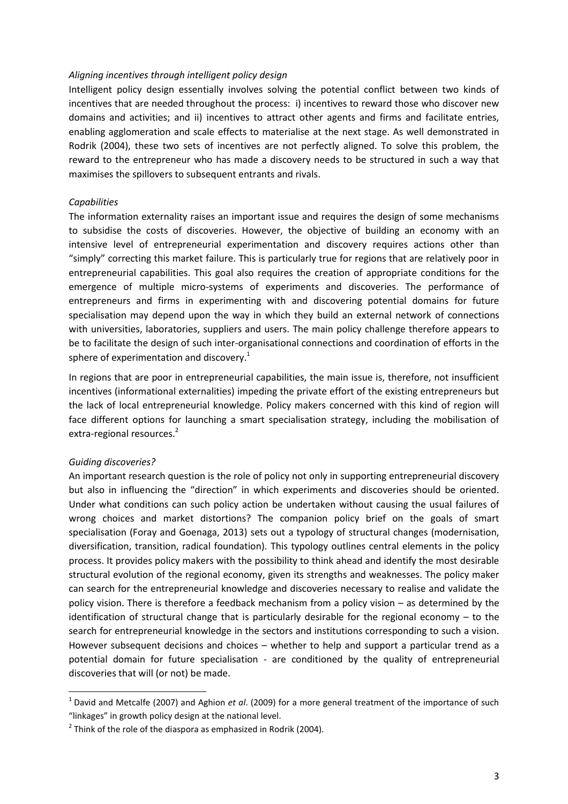#### *Aligning incentives through intelligent policy design*

Intelligent policy design essentially involves solving the potential conflict between two kinds of incentives that are needed throughout the process: i) incentives to reward those who discover new domains and activities; and ii) incentives to attract other agents and firms and facilitate entries, enabling agglomeration and scale effects to materialise at the next stage. As well demonstrated in Rodrik (2004), these two sets of incentives are not perfectly aligned. To solve this problem, the reward to the entrepreneur who has made a discovery needs to be structured in such a way that maximises the spillovers to subsequent entrants and rivals.

#### *Capabilities*

The information externality raises an important issue and requires the design of some mechanisms to subsidise the costs of discoveries. However, the objective of building an economy with an intensive level of entrepreneurial experimentation and discovery requires actions other than "simply" correcting this market failure. This is particularly true for regions that are relatively poor in entrepreneurial capabilities. This goal also requires the creation of appropriate conditions for the emergence of multiple micro-systems of experiments and discoveries. The performance of entrepreneurs and firms in experimenting with and discovering potential domains for future specialisation may depend upon the way in which they build an external network of connections with universities, laboratories, suppliers and users. The main policy challenge therefore appears to be to facilitate the design of such inter-organisational connections and coordination of efforts in the sphere of experimentation and discovery.<sup>1</sup>

In regions that are poor in entrepreneurial capabilities, the main issue is, therefore, not insufficient incentives (informational externalities) impeding the private effort of the existing entrepreneurs but the lack of local entrepreneurial knowledge. Policy makers concerned with this kind of region will face different options for launching a smart specialisation strategy, including the mobilisation of extra-regional resources. 2

#### *Guiding discoveries?*

 $\overline{a}$ 

An important research question is the role of policy not only in supporting entrepreneurial discovery but also in influencing the "direction" in which experiments and discoveries should be oriented. Under what conditions can such policy action be undertaken without causing the usual failures of wrong choices and market distortions? The companion policy brief on the goals of smart specialisation (Foray and Goenaga, 2013) sets out a typology of structural changes (modernisation, diversification, transition, radical foundation). This typology outlines central elements in the policy process. It provides policy makers with the possibility to think ahead and identify the most desirable structural evolution of the regional economy, given its strengths and weaknesses. The policy maker can search for the entrepreneurial knowledge and discoveries necessary to realise and validate the policy vision. There is therefore a feedback mechanism from a policy vision – as determined by the identification of structural change that is particularly desirable for the regional economy – to the search for entrepreneurial knowledge in the sectors and institutions corresponding to such a vision. However subsequent decisions and choices – whether to help and support a particular trend as a potential domain for future specialisation - are conditioned by the quality of entrepreneurial discoveries that will (or not) be made.

<sup>1</sup> David and Metcalfe (2007) and Aghion *et al*. (2009) for a more general treatment of the importance of such "linkages" in growth policy design at the national level.

 $2$  Think of the role of the diaspora as emphasized in Rodrik (2004).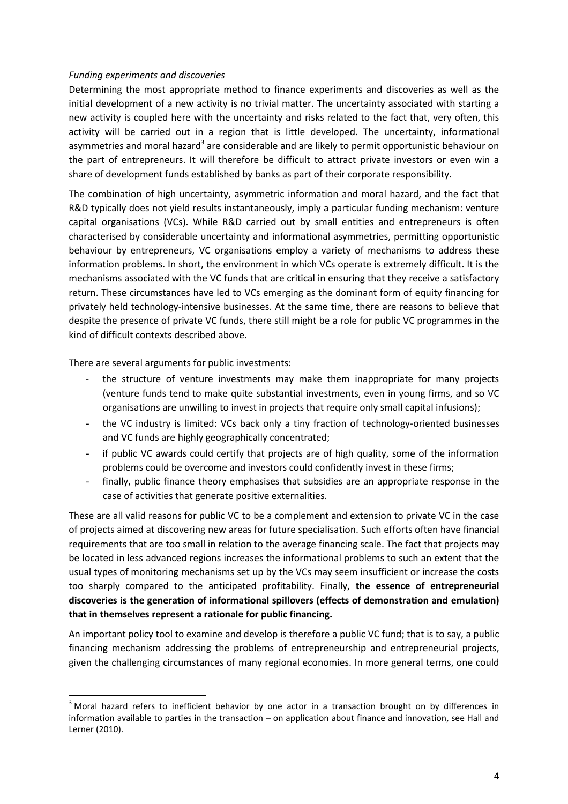#### *Funding experiments and discoveries*

Determining the most appropriate method to finance experiments and discoveries as well as the initial development of a new activity is no trivial matter. The uncertainty associated with starting a new activity is coupled here with the uncertainty and risks related to the fact that, very often, this activity will be carried out in a region that is little developed. The uncertainty, informational asymmetries and moral hazard<sup>3</sup> are considerable and are likely to permit opportunistic behaviour on the part of entrepreneurs. It will therefore be difficult to attract private investors or even win a share of development funds established by banks as part of their corporate responsibility.

The combination of high uncertainty, asymmetric information and moral hazard, and the fact that R&D typically does not yield results instantaneously, imply a particular funding mechanism: venture capital organisations (VCs). While R&D carried out by small entities and entrepreneurs is often characterised by considerable uncertainty and informational asymmetries, permitting opportunistic behaviour by entrepreneurs, VC organisations employ a variety of mechanisms to address these information problems. In short, the environment in which VCs operate is extremely difficult. It is the mechanisms associated with the VC funds that are critical in ensuring that they receive a satisfactory return. These circumstances have led to VCs emerging as the dominant form of equity financing for privately held technology-intensive businesses. At the same time, there are reasons to believe that despite the presence of private VC funds, there still might be a role for public VC programmes in the kind of difficult contexts described above.

There are several arguments for public investments:

 $\overline{a}$ 

- the structure of venture investments may make them inappropriate for many projects (venture funds tend to make quite substantial investments, even in young firms, and so VC organisations are unwilling to invest in projects that require only small capital infusions);
- the VC industry is limited: VCs back only a tiny fraction of technology-oriented businesses and VC funds are highly geographically concentrated;
- if public VC awards could certify that projects are of high quality, some of the information problems could be overcome and investors could confidently invest in these firms;
- finally, public finance theory emphasises that subsidies are an appropriate response in the case of activities that generate positive externalities.

These are all valid reasons for public VC to be a complement and extension to private VC in the case of projects aimed at discovering new areas for future specialisation. Such efforts often have financial requirements that are too small in relation to the average financing scale. The fact that projects may be located in less advanced regions increases the informational problems to such an extent that the usual types of monitoring mechanisms set up by the VCs may seem insufficient or increase the costs too sharply compared to the anticipated profitability. Finally, **the essence of entrepreneurial discoveries is the generation of informational spillovers (effects of demonstration and emulation) that in themselves represent a rationale for public financing.**

An important policy tool to examine and develop is therefore a public VC fund; that is to say, a public financing mechanism addressing the problems of entrepreneurship and entrepreneurial projects, given the challenging circumstances of many regional economies. In more general terms, one could

<sup>&</sup>lt;sup>3</sup> Moral hazard refers to inefficient behavior by one actor in a transaction brought on by differences in information available to parties in the transaction – on application about finance and innovation, see Hall and Lerner (2010).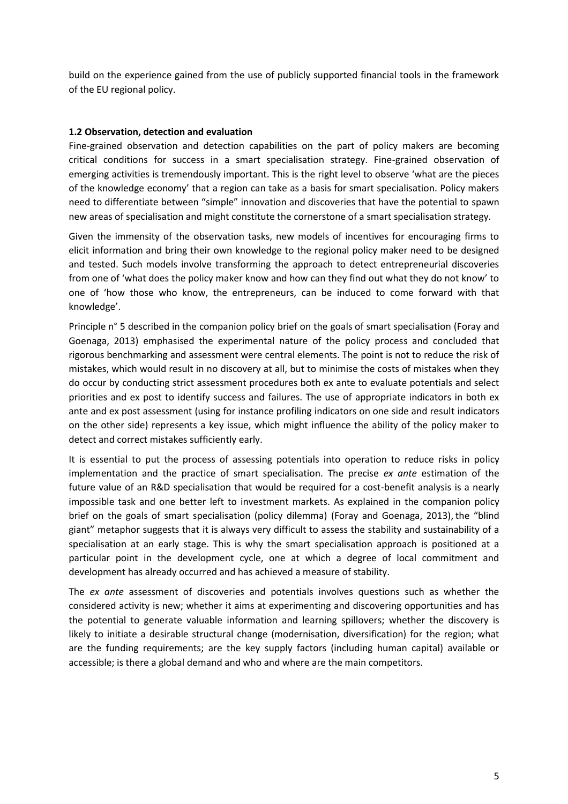build on the experience gained from the use of publicly supported financial tools in the framework of the EU regional policy.

#### **1.2 Observation, detection and evaluation**

Fine-grained observation and detection capabilities on the part of policy makers are becoming critical conditions for success in a smart specialisation strategy. Fine-grained observation of emerging activities is tremendously important. This is the right level to observe 'what are the pieces of the knowledge economy' that a region can take as a basis for smart specialisation. Policy makers need to differentiate between "simple" innovation and discoveries that have the potential to spawn new areas of specialisation and might constitute the cornerstone of a smart specialisation strategy.

Given the immensity of the observation tasks, new models of incentives for encouraging firms to elicit information and bring their own knowledge to the regional policy maker need to be designed and tested. Such models involve transforming the approach to detect entrepreneurial discoveries from one of 'what does the policy maker know and how can they find out what they do not know' to one of 'how those who know, the entrepreneurs, can be induced to come forward with that knowledge'.

Principle n° 5 described in the companion policy brief on the goals of smart specialisation (Foray and Goenaga, 2013) emphasised the experimental nature of the policy process and concluded that rigorous benchmarking and assessment were central elements. The point is not to reduce the risk of mistakes, which would result in no discovery at all, but to minimise the costs of mistakes when they do occur by conducting strict assessment procedures both ex ante to evaluate potentials and select priorities and ex post to identify success and failures. The use of appropriate indicators in both ex ante and ex post assessment (using for instance profiling indicators on one side and result indicators on the other side) represents a key issue, which might influence the ability of the policy maker to detect and correct mistakes sufficiently early.

It is essential to put the process of assessing potentials into operation to reduce risks in policy implementation and the practice of smart specialisation. The precise *ex ante* estimation of the future value of an R&D specialisation that would be required for a cost-benefit analysis is a nearly impossible task and one better left to investment markets. As explained in the companion policy brief on the goals of smart specialisation (policy dilemma) (Foray and Goenaga, 2013), the "blind giant" metaphor suggests that it is always very difficult to assess the stability and sustainability of a specialisation at an early stage. This is why the smart specialisation approach is positioned at a particular point in the development cycle, one at which a degree of local commitment and development has already occurred and has achieved a measure of stability.

The *ex ante* assessment of discoveries and potentials involves questions such as whether the considered activity is new; whether it aims at experimenting and discovering opportunities and has the potential to generate valuable information and learning spillovers; whether the discovery is likely to initiate a desirable structural change (modernisation, diversification) for the region; what are the funding requirements; are the key supply factors (including human capital) available or accessible; is there a global demand and who and where are the main competitors.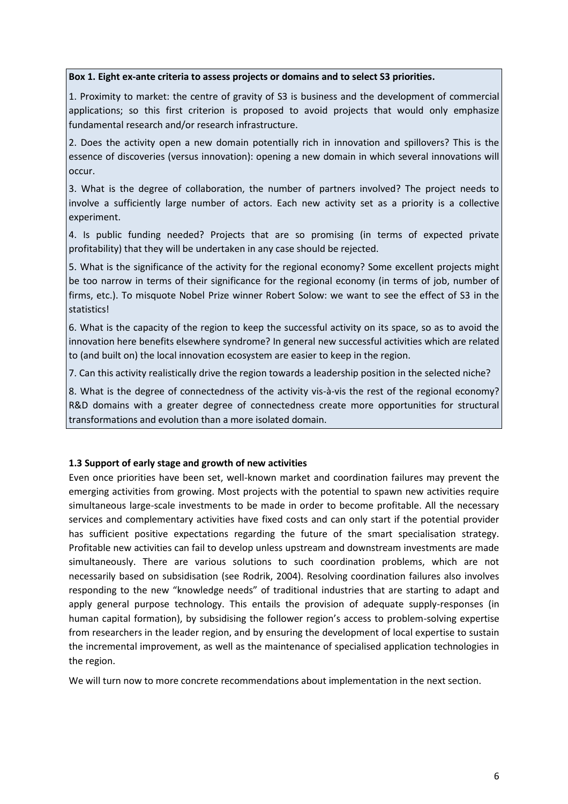#### **Box 1. Eight ex-ante criteria to assess projects or domains and to select S3 priorities.**

1. Proximity to market: the centre of gravity of S3 is business and the development of commercial applications; so this first criterion is proposed to avoid projects that would only emphasize fundamental research and/or research infrastructure.

2. Does the activity open a new domain potentially rich in innovation and spillovers? This is the essence of discoveries (versus innovation): opening a new domain in which several innovations will occur.

3. What is the degree of collaboration, the number of partners involved? The project needs to involve a sufficiently large number of actors. Each new activity set as a priority is a collective experiment.

4. Is public funding needed? Projects that are so promising (in terms of expected private profitability) that they will be undertaken in any case should be rejected.

5. What is the significance of the activity for the regional economy? Some excellent projects might be too narrow in terms of their significance for the regional economy (in terms of job, number of firms, etc.). To misquote Nobel Prize winner Robert Solow: we want to see the effect of S3 in the statistics!

6. What is the capacity of the region to keep the successful activity on its space, so as to avoid the innovation here benefits elsewhere syndrome? In general new successful activities which are related to (and built on) the local innovation ecosystem are easier to keep in the region.

7. Can this activity realistically drive the region towards a leadership position in the selected niche?

8. What is the degree of connectedness of the activity vis-à-vis the rest of the regional economy? R&D domains with a greater degree of connectedness create more opportunities for structural transformations and evolution than a more isolated domain.

#### **1.3 Support of early stage and growth of new activities**

Even once priorities have been set, well-known market and coordination failures may prevent the emerging activities from growing. Most projects with the potential to spawn new activities require simultaneous large-scale investments to be made in order to become profitable. All the necessary services and complementary activities have fixed costs and can only start if the potential provider has sufficient positive expectations regarding the future of the smart specialisation strategy. Profitable new activities can fail to develop unless upstream and downstream investments are made simultaneously. There are various solutions to such coordination problems, which are not necessarily based on subsidisation (see Rodrik, 2004). Resolving coordination failures also involves responding to the new "knowledge needs" of traditional industries that are starting to adapt and apply general purpose technology. This entails the provision of adequate supply-responses (in human capital formation), by subsidising the follower region's access to problem-solving expertise from researchers in the leader region, and by ensuring the development of local expertise to sustain the incremental improvement, as well as the maintenance of specialised application technologies in the region.

We will turn now to more concrete recommendations about implementation in the next section.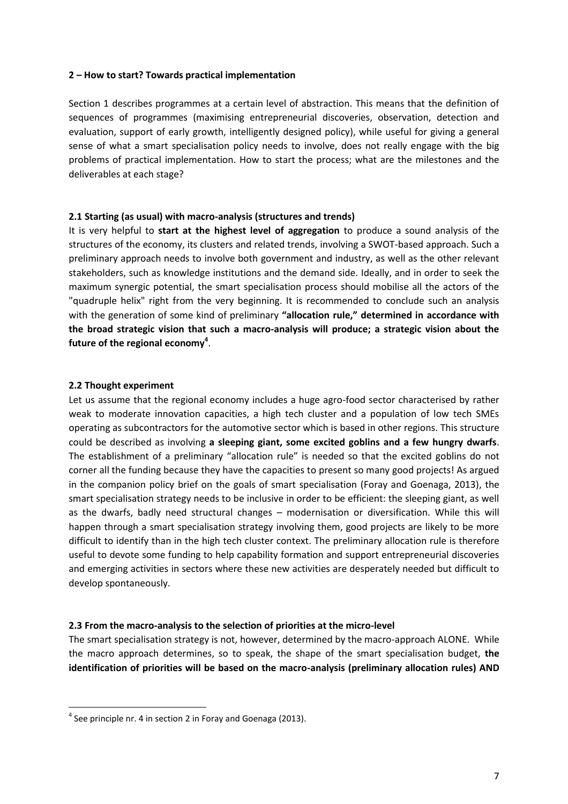#### **2 – How to start? Towards practical implementation**

Section 1 describes programmes at a certain level of abstraction. This means that the definition of sequences of programmes (maximising entrepreneurial discoveries, observation, detection and evaluation, support of early growth, intelligently designed policy), while useful for giving a general sense of what a smart specialisation policy needs to involve, does not really engage with the big problems of practical implementation. How to start the process; what are the milestones and the deliverables at each stage?

#### **2.1 Starting (as usual) with macro-analysis (structures and trends)**

It is very helpful to **start at the highest level of aggregation** to produce a sound analysis of the structures of the economy, its clusters and related trends, involving a SWOT-based approach. Such a preliminary approach needs to involve both government and industry, as well as the other relevant stakeholders, such as knowledge institutions and the demand side. Ideally, and in order to seek the maximum synergic potential, the smart specialisation process should mobilise all the actors of the "quadruple helix" right from the very beginning. It is recommended to conclude such an analysis with the generation of some kind of preliminary **"allocation rule," determined in accordance with the broad strategic vision that such a macro-analysis will produce; a strategic vision about the future of the regional economy<sup>4</sup>** .

#### **2.2 Thought experiment**

 $\overline{a}$ 

Let us assume that the regional economy includes a huge agro-food sector characterised by rather weak to moderate innovation capacities, a high tech cluster and a population of low tech SMEs operating as subcontractors for the automotive sector which is based in other regions. This structure could be described as involving **a sleeping giant, some excited goblins and a few hungry dwarfs**. The establishment of a preliminary "allocation rule" is needed so that the excited goblins do not corner all the funding because they have the capacities to present so many good projects! As argued in the companion policy brief on the goals of smart specialisation (Foray and Goenaga, 2013), the smart specialisation strategy needs to be inclusive in order to be efficient: the sleeping giant, as well as the dwarfs, badly need structural changes – modernisation or diversification. While this will happen through a smart specialisation strategy involving them, good projects are likely to be more difficult to identify than in the high tech cluster context. The preliminary allocation rule is therefore useful to devote some funding to help capability formation and support entrepreneurial discoveries and emerging activities in sectors where these new activities are desperately needed but difficult to develop spontaneously.

#### **2.3 From the macro-analysis to the selection of priorities at the micro-level**

The smart specialisation strategy is not, however, determined by the macro-approach ALONE. While the macro approach determines, so to speak, the shape of the smart specialisation budget, **the identification of priorities will be based on the macro-analysis (preliminary allocation rules) AND** 

 $<sup>4</sup>$  See principle nr. 4 in section 2 in Foray and Goenaga (2013).</sup>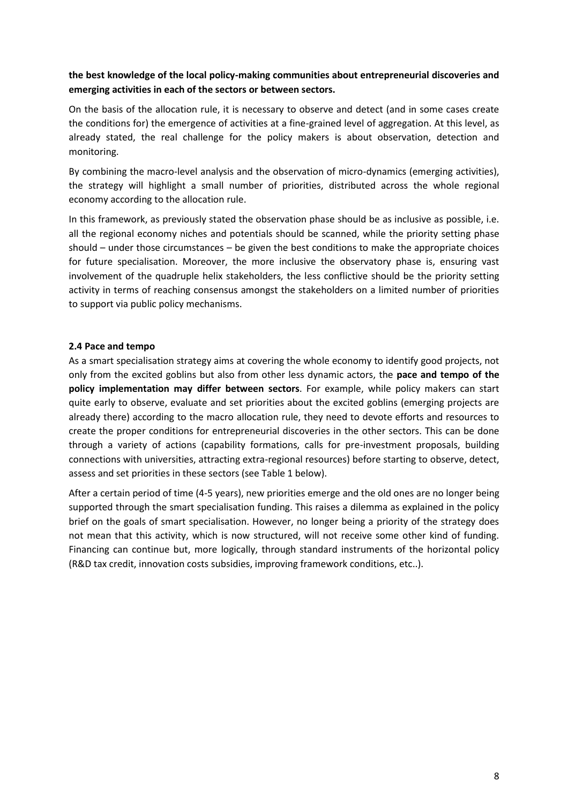#### **the best knowledge of the local policy-making communities about entrepreneurial discoveries and emerging activities in each of the sectors or between sectors.**

On the basis of the allocation rule, it is necessary to observe and detect (and in some cases create the conditions for) the emergence of activities at a fine-grained level of aggregation. At this level, as already stated, the real challenge for the policy makers is about observation, detection and monitoring.

By combining the macro-level analysis and the observation of micro-dynamics (emerging activities), the strategy will highlight a small number of priorities, distributed across the whole regional economy according to the allocation rule.

In this framework, as previously stated the observation phase should be as inclusive as possible, i.e. all the regional economy niches and potentials should be scanned, while the priority setting phase should – under those circumstances – be given the best conditions to make the appropriate choices for future specialisation. Moreover, the more inclusive the observatory phase is, ensuring vast involvement of the quadruple helix stakeholders, the less conflictive should be the priority setting activity in terms of reaching consensus amongst the stakeholders on a limited number of priorities to support via public policy mechanisms.

#### **2.4 Pace and tempo**

As a smart specialisation strategy aims at covering the whole economy to identify good projects, not only from the excited goblins but also from other less dynamic actors, the **pace and tempo of the policy implementation may differ between sectors**. For example, while policy makers can start quite early to observe, evaluate and set priorities about the excited goblins (emerging projects are already there) according to the macro allocation rule, they need to devote efforts and resources to create the proper conditions for entrepreneurial discoveries in the other sectors. This can be done through a variety of actions (capability formations, calls for pre-investment proposals, building connections with universities, attracting extra-regional resources) before starting to observe, detect, assess and set priorities in these sectors (see Table 1 below).

After a certain period of time (4-5 years), new priorities emerge and the old ones are no longer being supported through the smart specialisation funding. This raises a dilemma as explained in the policy brief on the goals of smart specialisation. However, no longer being a priority of the strategy does not mean that this activity, which is now structured, will not receive some other kind of funding. Financing can continue but, more logically, through standard instruments of the horizontal policy (R&D tax credit, innovation costs subsidies, improving framework conditions, etc..).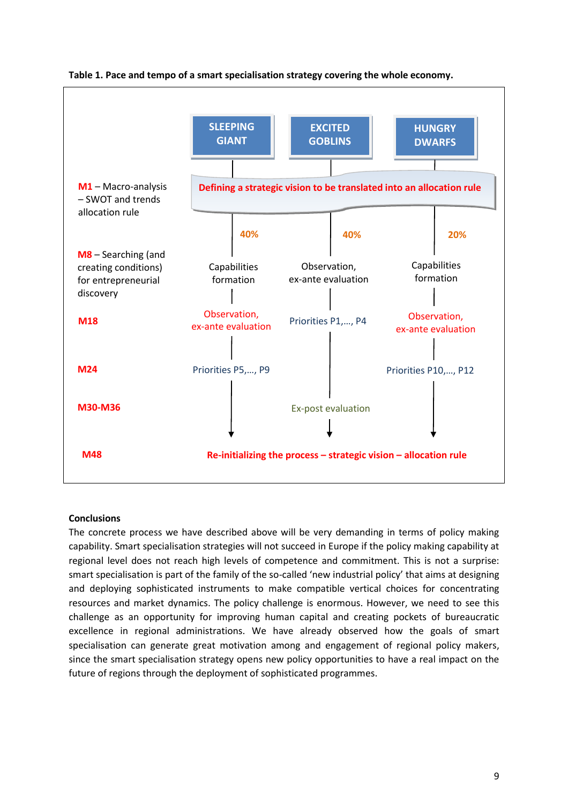

#### **Table 1. Pace and tempo of a smart specialisation strategy covering the whole economy.**

#### **Conclusions**

The concrete process we have described above will be very demanding in terms of policy making capability. Smart specialisation strategies will not succeed in Europe if the policy making capability at regional level does not reach high levels of competence and commitment. This is not a surprise: smart specialisation is part of the family of the so-called 'new industrial policy' that aims at designing and deploying sophisticated instruments to make compatible vertical choices for concentrating resources and market dynamics. The policy challenge is enormous. However, we need to see this challenge as an opportunity for improving human capital and creating pockets of bureaucratic excellence in regional administrations. We have already observed how the goals of smart specialisation can generate great motivation among and engagement of regional policy makers, since the smart specialisation strategy opens new policy opportunities to have a real impact on the future of regions through the deployment of sophisticated programmes.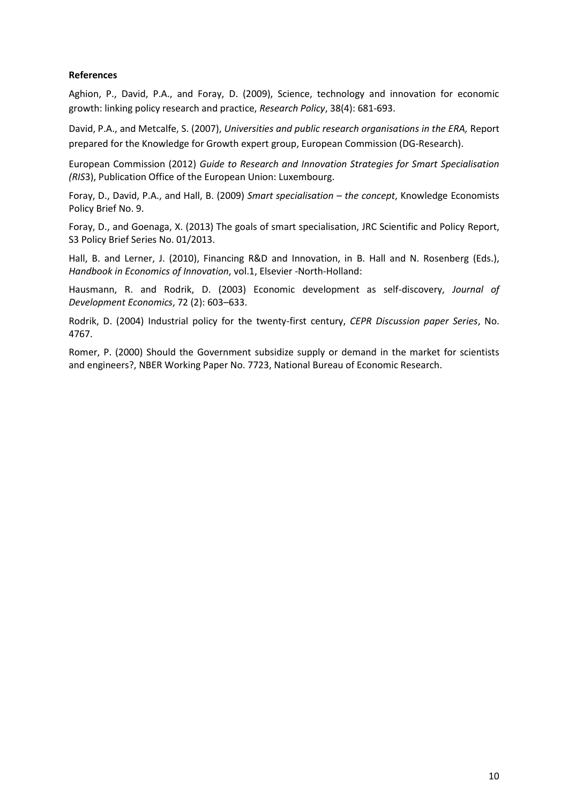#### **References**

Aghion, P., David, P.A., and Foray, D. (2009), Science, technology and innovation for economic growth: linking policy research and practice, *Research Policy*, 38(4): 681-693.

David, P.A., and Metcalfe, S. (2007), *Universities and public research organisations in the ERA,* Report prepared for the Knowledge for Growth expert group, European Commission (DG-Research).

European Commission (2012) *Guide to Research and Innovation Strategies for Smart Specialisation (RIS*3), Publication Office of the European Union: Luxembourg.

Foray, D., David, P.A., and Hall, B. (2009) *Smart specialisation – the concept*, Knowledge Economists Policy Brief No. 9.

Foray, D., and Goenaga, X. (2013) The goals of smart specialisation, JRC Scientific and Policy Report, S3 Policy Brief Series No. 01/2013.

Hall, B. and Lerner, J. (2010), Financing R&D and Innovation, in B. Hall and N. Rosenberg (Eds.), *Handbook in Economics of Innovation*, vol.1, Elsevier -North-Holland:

Hausmann, R. and Rodrik, D. (2003) Economic development as self-discovery, *Journal of Development Economics*, 72 (2): 603–633.

Rodrik, D. (2004) Industrial policy for the twenty-first century, *CEPR Discussion paper Series*, No. 4767.

Romer, P. (2000) Should the Government subsidize supply or demand in the market for scientists and engineers?, NBER Working Paper No. 7723, National Bureau of Economic Research.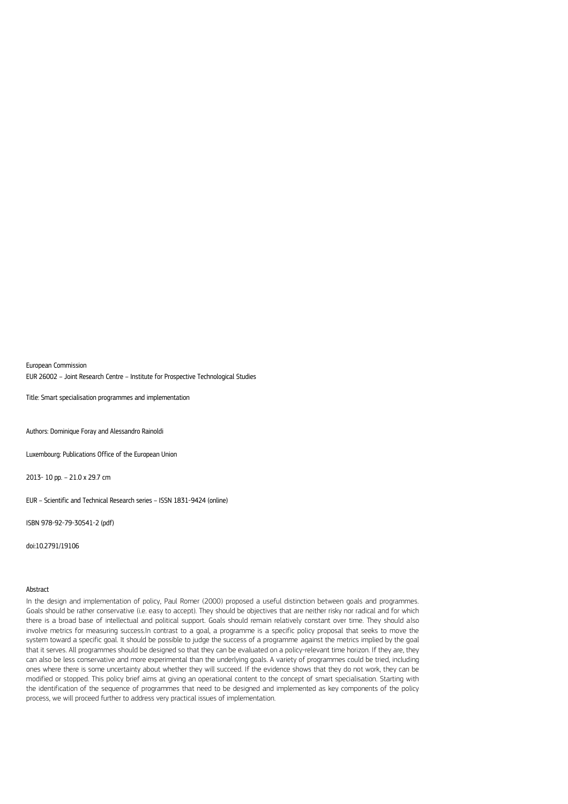European Commission

EUR 26002 – Joint Research Centre – Institute for Prospective Technological Studies

Title: Smart specialisation programmes and implementation

Authors: Dominique Foray and Alessandro Rainoldi

Luxembourg: Publications Office of the European Union

2013- 10 pp. – 21.0 x 29.7 cm

EUR – Scientific and Technical Research series – ISSN 1831-9424 (online)

ISBN 978-92-79-30541-2 (pdf)

doi:10.2791/19106

#### Abstract

In the design and implementation of policy, Paul Romer (2000) proposed a useful distinction between goals and programmes. Goals should be rather conservative (i.e. easy to accept). They should be objectives that are neither risky nor radical and for which there is a broad base of intellectual and political support. Goals should remain relatively constant over time. They should also involve metrics for measuring success.In contrast to a goal, a programme is a specific policy proposal that seeks to move the system toward a specific goal. It should be possible to judge the success of a programme against the metrics implied by the goal that it serves. All programmes should be designed so that they can be evaluated on a policy-relevant time horizon. If they are, they can also be less conservative and more experimental than the underlying goals. A variety of programmes could be tried, including ones where there is some uncertainty about whether they will succeed. If the evidence shows that they do not work, they can be modified or stopped. This policy brief aims at giving an operational content to the concept of smart specialisation. Starting with the identification of the sequence of programmes that need to be designed and implemented as key components of the policy process, we will proceed further to address very practical issues of implementation.